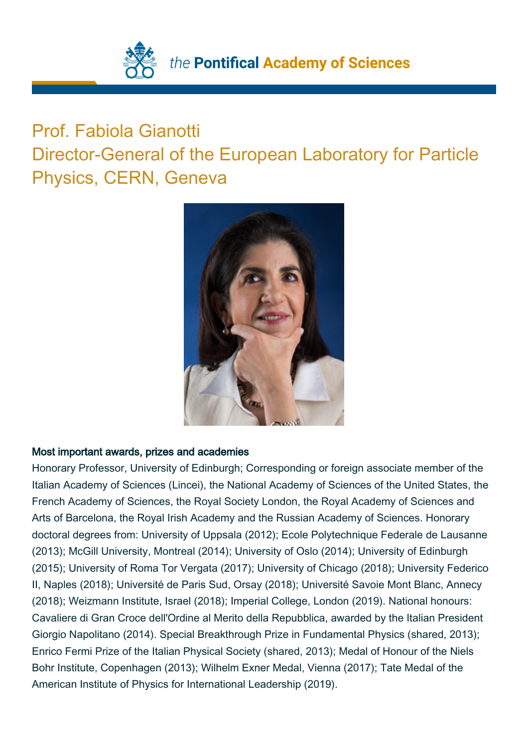

## Prof. Fabiola Gianotti

# Director-General of the European Laboratory for Particle Physics, CERN, Geneva



## Most important awards, prizes and academies

Honorary Professor, University of Edinburgh; Corresponding or foreign associate member of the Italian Academy of Sciences (Lincei), the National Academy of Sciences of the United States, the French Academy of Sciences, the Royal Society London, the Royal Academy of Sciences and Arts of Barcelona, the Royal Irish Academy and the Russian Academy of Sciences. Honorary doctoral degrees from: University of Uppsala (2012); Ecole Polytechnique Federale de Lausanne (2013); McGill University, Montreal (2014); University of Oslo (2014); University of Edinburgh (2015); University of Roma Tor Vergata (2017); University of Chicago (2018); University Federico II, Naples (2018); Université de Paris Sud, Orsay (2018); Université Savoie Mont Blanc, Annecy (2018); Weizmann Institute, Israel (2018); Imperial College, London (2019). National honours: Cavaliere di Gran Croce dell'Ordine al Merito della Repubblica, awarded by the Italian President Giorgio Napolitano (2014). Special Breakthrough Prize in Fundamental Physics (shared, 2013); Enrico Fermi Prize of the Italian Physical Society (shared, 2013); Medal of Honour of the Niels Bohr Institute, Copenhagen (2013); Wilhelm Exner Medal, Vienna (2017); Tate Medal of the American Institute of Physics for International Leadership (2019).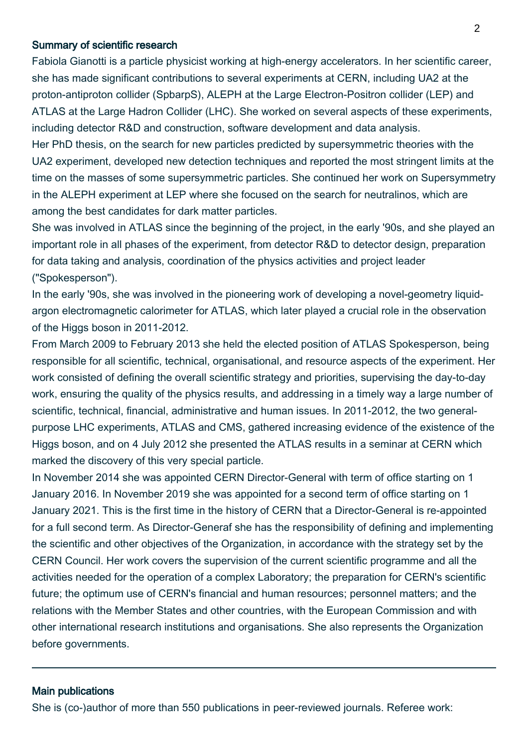### Summary of scientific research

Fabiola Gianotti is a particle physicist working at high-energy accelerators. In her scientific career, she has made significant contributions to several experiments at CERN, including UA2 at the proton-antiproton collider (SpbarpS), ALEPH at the Large Electron-Positron collider (LEP) and ATLAS at the Large Hadron Collider (LHC). She worked on several aspects of these experiments, including detector R&D and construction, software development and data analysis.

Her PhD thesis, on the search for new particles predicted by supersymmetric theories with the UA2 experiment, developed new detection techniques and reported the most stringent limits at the time on the masses of some supersymmetric particles. She continued her work on Supersymmetry in the ALEPH experiment at LEP where she focused on the search for neutralinos, which are among the best candidates for dark matter particles.

She was involved in ATLAS since the beginning of the project, in the early '90s, and she played an important role in all phases of the experiment, from detector R&D to detector design, preparation for data taking and analysis, coordination of the physics activities and project leader ("Spokesperson").

In the early '90s, she was involved in the pioneering work of developing a novel-geometry liquidargon electromagnetic calorimeter for ATLAS, which later played a crucial role in the observation of the Higgs boson in 2011-2012.

From March 2009 to February 2013 she held the elected position of ATLAS Spokesperson, being responsible for all scientific, technical, organisational, and resource aspects of the experiment. Her work consisted of defining the overall scientific strategy and priorities, supervising the day-to-day work, ensuring the quality of the physics results, and addressing in a timely way a large number of scientific, technical, financial, administrative and human issues. In 2011-2012, the two generalpurpose LHC experiments, ATLAS and CMS, gathered increasing evidence of the existence of the Higgs boson, and on 4 July 2012 she presented the ATLAS results in a seminar at CERN which marked the discovery of this very special particle.

In November 2014 she was appointed CERN Director-General with term of office starting on 1 January 2016. In November 2019 she was appointed for a second term of office starting on 1 January 2021. This is the first time in the history of CERN that a Director-General is re-appointed for a full second term. As Director-Generaf she has the responsibility of defining and implementing the scientific and other objectives of the Organization, in accordance with the strategy set by the CERN Council. Her work covers the supervision of the current scientific programme and all the activities needed for the operation of a complex Laboratory; the preparation for CERN's scientific future; the optimum use of CERN's financial and human resources; personnel matters; and the relations with the Member States and other countries, with the European Commission and with other international research institutions and organisations. She also represents the Organization before governments.

#### Main publications

She is (co-)author of more than 550 publications in peer-reviewed journals. Referee work: